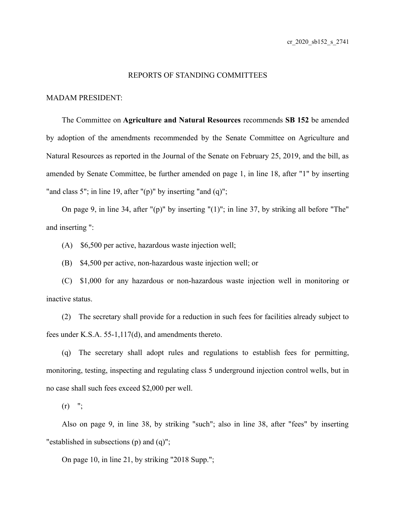## REPORTS OF STANDING COMMITTEES

## MADAM PRESIDENT:

The Committee on **Agriculture and Natural Resources** recommends **SB 152** be amended by adoption of the amendments recommended by the Senate Committee on Agriculture and Natural Resources as reported in the Journal of the Senate on February 25, 2019, and the bill, as amended by Senate Committee, be further amended on page 1, in line 18, after "1" by inserting "and class 5"; in line 19, after " $(p)$ " by inserting "and  $(q)$ ";

On page 9, in line 34, after "(p)" by inserting "(1)"; in line 37, by striking all before "The" and inserting ":

(A) \$6,500 per active, hazardous waste injection well;

(B) \$4,500 per active, non-hazardous waste injection well; or

(C) \$1,000 for any hazardous or non-hazardous waste injection well in monitoring or inactive status.

(2) The secretary shall provide for a reduction in such fees for facilities already subject to fees under K.S.A. 55-1,117(d), and amendments thereto.

(q) The secretary shall adopt rules and regulations to establish fees for permitting, monitoring, testing, inspecting and regulating class 5 underground injection control wells, but in no case shall such fees exceed \$2,000 per well.

 $(r)$  ";

Also on page 9, in line 38, by striking "such"; also in line 38, after "fees" by inserting "established in subsections (p) and (q)";

On page 10, in line 21, by striking "2018 Supp.";